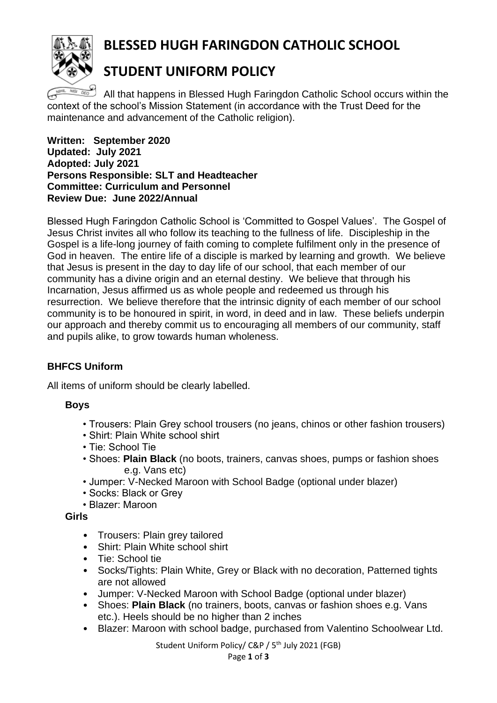

# **BLESSED HUGH FARINGDON CATHOLIC SCHOOL**

# **STUDENT UNIFORM POLICY**

 $\Box$  All that happens in Blessed Hugh Faringdon Catholic School occurs within the context of the school's Mission Statement (in accordance with the Trust Deed for the maintenance and advancement of the Catholic religion).

**Written: September 2020 Updated: July 2021 Adopted: July 2021 Persons Responsible: SLT and Headteacher Committee: Curriculum and Personnel Review Due: June 2022/Annual**

Blessed Hugh Faringdon Catholic School is 'Committed to Gospel Values'. The Gospel of Jesus Christ invites all who follow its teaching to the fullness of life. Discipleship in the Gospel is a life-long journey of faith coming to complete fulfilment only in the presence of God in heaven. The entire life of a disciple is marked by learning and growth. We believe that Jesus is present in the day to day life of our school, that each member of our community has a divine origin and an eternal destiny. We believe that through his Incarnation, Jesus affirmed us as whole people and redeemed us through his resurrection. We believe therefore that the intrinsic dignity of each member of our school community is to be honoured in spirit, in word, in deed and in law. These beliefs underpin our approach and thereby commit us to encouraging all members of our community, staff and pupils alike, to grow towards human wholeness.

### **BHFCS Uniform**

All items of uniform should be clearly labelled.

#### **Boys**

- Trousers: Plain Grey school trousers (no jeans, chinos or other fashion trousers)
- Shirt: Plain White school shirt
- Tie: School Tie
- Shoes: **Plain Black** (no boots, trainers, canvas shoes, pumps or fashion shoes e.g. Vans etc)
- Jumper: V-Necked Maroon with School Badge (optional under blazer)
- Socks: Black or Grey
- Blazer: Maroon

**Girls**

- Trousers: Plain grey tailored
- Shirt: Plain White school shirt
- Tie: School tie
- Socks/Tights: Plain White, Grey or Black with no decoration, Patterned tights are not allowed
- Jumper: V-Necked Maroon with School Badge (optional under blazer)
- Shoes: **Plain Black** (no trainers, boots, canvas or fashion shoes e.g. Vans etc.). Heels should be no higher than 2 inches
- Blazer: Maroon with school badge, purchased from Valentino Schoolwear Ltd.

Student Uniform Policy/ C&P / 5<sup>th</sup> July 2021 (FGB)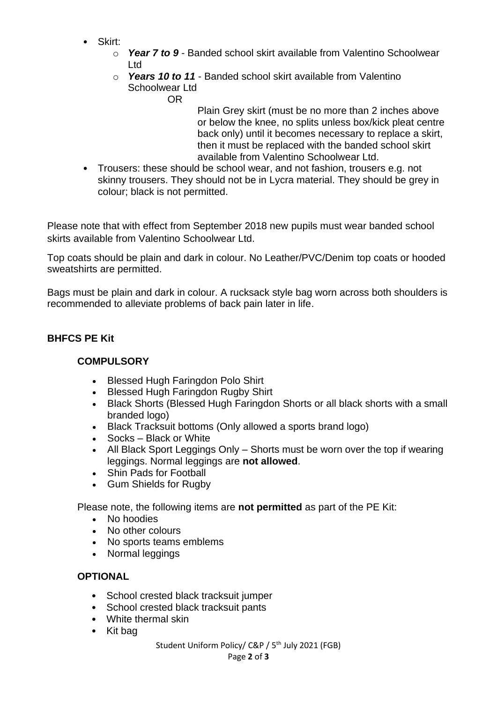- Skirt:
	- o *Year 7 to 9* Banded school skirt available from Valentino Schoolwear Ltd
	- o *Years 10 to 11* Banded school skirt available from Valentino Schoolwear Ltd

OR

Plain Grey skirt (must be no more than 2 inches above or below the knee, no splits unless box/kick pleat centre back only) until it becomes necessary to replace a skirt, then it must be replaced with the banded school skirt available from Valentino Schoolwear Ltd.

• Trousers: these should be school wear, and not fashion, trousers e.g. not skinny trousers. They should not be in Lycra material. They should be grey in colour; black is not permitted.

Please note that with effect from September 2018 new pupils must wear banded school skirts available from Valentino Schoolwear Ltd.

Top coats should be plain and dark in colour. No Leather/PVC/Denim top coats or hooded sweatshirts are permitted.

Bags must be plain and dark in colour. A rucksack style bag worn across both shoulders is recommended to alleviate problems of back pain later in life.

## **BHFCS PE Kit**

### **COMPULSORY**

- Blessed Hugh Faringdon Polo Shirt
- Blessed Hugh Faringdon Rugby Shirt
- Black Shorts (Blessed Hugh Faringdon Shorts or all black shorts with a small branded logo)
- Black Tracksuit bottoms (Only allowed a sports brand logo)
- Socks Black or White
- All Black Sport Leggings Only Shorts must be worn over the top if wearing leggings. Normal leggings are **not allowed**.
- Shin Pads for Football
- Gum Shields for Rugby

Please note, the following items are **not permitted** as part of the PE Kit:

- No hoodies
- No other colours
- No sports teams emblems
- Normal leggings

# **OPTIONAL**

- School crested black tracksuit jumper
- School crested black tracksuit pants
- White thermal skin
- Kit bag